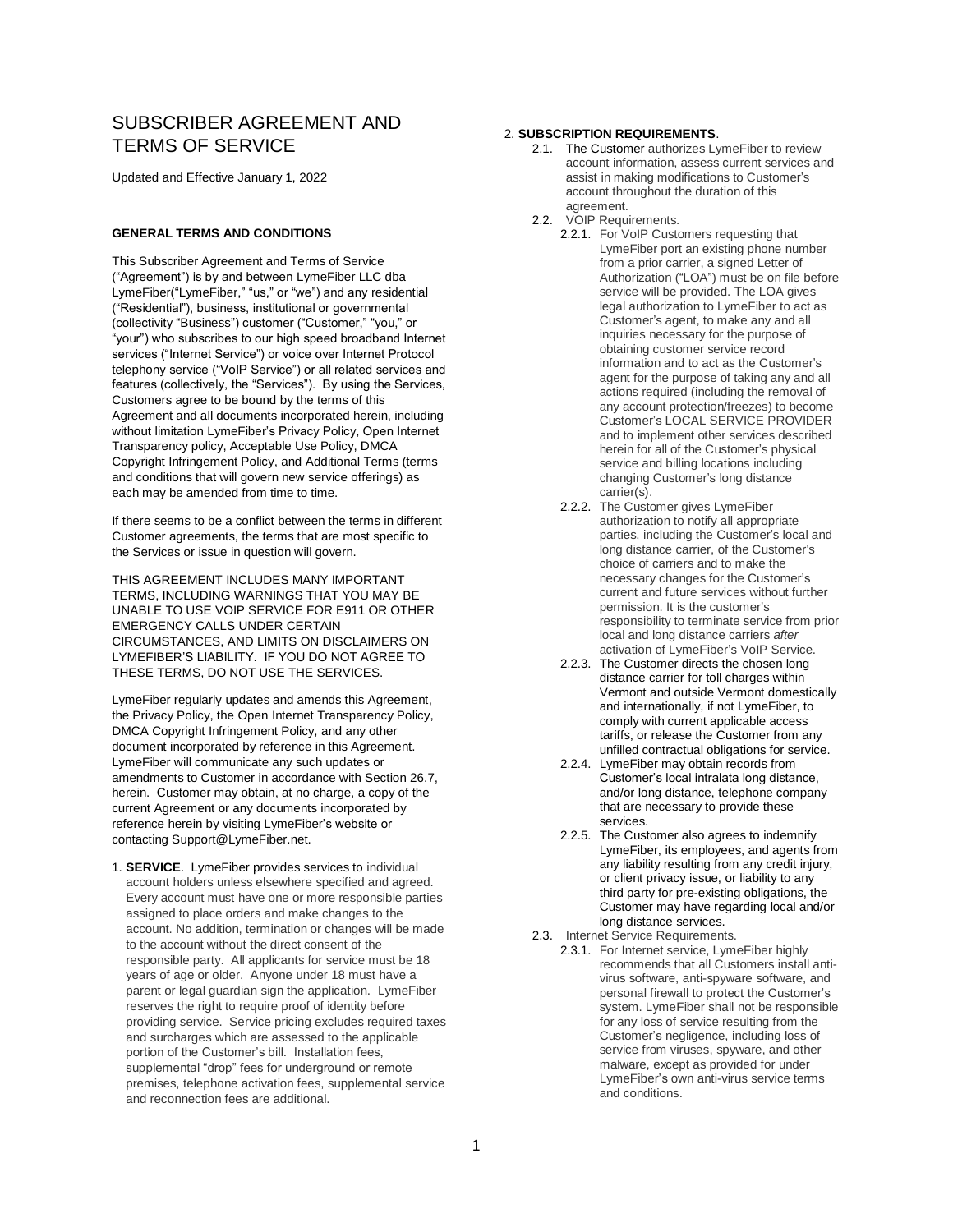# SUBSCRIBER AGREEMENT AND TERMS OF SERVICE

Updated and Effective January 1, 2022

# **GENERAL TERMS AND CONDITIONS**

This Subscriber Agreement and Terms of Service ("Agreement") is by and between LymeFiber LLC dba LymeFiber("LymeFiber," "us," or "we") and any residential ("Residential"), business, institutional or governmental (collectivity "Business") customer ("Customer," "you," or "your") who subscribes to our high speed broadband Internet services ("Internet Service") or voice over Internet Protocol telephony service ("VoIP Service") or all related services and features (collectively, the "Services"). By using the Services, Customers agree to be bound by the terms of this Agreement and all documents incorporated herein, including without limitation LymeFiber's Privacy Policy, Open Internet Transparency policy, Acceptable Use Policy, DMCA Copyright Infringement Policy, and Additional Terms (terms and conditions that will govern new service offerings) as each may be amended from time to time.

If there seems to be a conflict between the terms in different Customer agreements, the terms that are most specific to the Services or issue in question will govern.

THIS AGREEMENT INCLUDES MANY IMPORTANT TERMS, INCLUDING WARNINGS THAT YOU MAY BE UNABLE TO USE VOIP SERVICE FOR E911 OR OTHER EMERGENCY CALLS UNDER CERTAIN CIRCUMSTANCES, AND LIMITS ON DISCLAIMERS ON LYMEFIBER'S LIABILITY. IF YOU DO NOT AGREE TO THESE TERMS, DO NOT USE THE SERVICES.

LymeFiber regularly updates and amends this Agreement, the Privacy Policy, the Open Internet Transparency Policy, DMCA Copyright Infringement Policy, and any other document incorporated by reference in this Agreement. LymeFiber will communicate any such updates or amendments to Customer in accordance with Section 26.7, herein. Customer may obtain, at no charge, a copy of the current Agreement or any documents incorporated by reference herein by visiting LymeFiber's website or contacting Support@LymeFiber.net.

1. **SERVICE**. LymeFiber provides services to individual account holders unless elsewhere specified and agreed. Every account must have one or more responsible parties assigned to place orders and make changes to the account. No addition, termination or changes will be made to the account without the direct consent of the responsible party. All applicants for service must be 18 years of age or older. Anyone under 18 must have a parent or legal guardian sign the application. LymeFiber reserves the right to require proof of identity before providing service. Service pricing excludes required taxes and surcharges which are assessed to the applicable portion of the Customer's bill. Installation fees, supplemental "drop" fees for underground or remote premises, telephone activation fees, supplemental service and reconnection fees are additional.

# 2. **SUBSCRIPTION REQUIREMENTS**.

- 2.1. The Customer authorizes LymeFiber to review account information, assess current services and assist in making modifications to Customer's account throughout the duration of this agreement.
- 2.2. VOIP Requirements.
	- 2.2.1. For VoIP Customers requesting that LymeFiber port an existing phone number from a prior carrier, a signed Letter of Authorization ("LOA") must be on file before service will be provided. The LOA gives legal authorization to LymeFiber to act as Customer's agent, to make any and all inquiries necessary for the purpose of obtaining customer service record information and to act as the Customer's agent for the purpose of taking any and all actions required (including the removal of any account protection/freezes) to become Customer's LOCAL SERVICE PROVIDER and to implement other services described herein for all of the Customer's physical service and billing locations including changing Customer's long distance carrier(s).
	- 2.2.2. The Customer gives LymeFiber authorization to notify all appropriate parties, including the Customer's local and long distance carrier, of the Customer's choice of carriers and to make the necessary changes for the Customer's current and future services without further permission. It is the customer's responsibility to terminate service from prior local and long distance carriers *after* activation of LymeFiber's VoIP Service.
	- 2.2.3. The Customer directs the chosen long distance carrier for toll charges within Vermont and outside Vermont domestically and internationally, if not LymeFiber, to comply with current applicable access tariffs, or release the Customer from any unfilled contractual obligations for service.
	- 2.2.4. LymeFiber may obtain records from Customer's local intralata long distance, and/or long distance, telephone company that are necessary to provide these services.
	- 2.2.5. The Customer also agrees to indemnify LymeFiber, its employees, and agents from any liability resulting from any credit injury, or client privacy issue, or liability to any third party for pre-existing obligations, the Customer may have regarding local and/or long distance services.
- 2.3. Internet Service Requirements.
	- 2.3.1. For Internet service, LymeFiber highly recommends that all Customers install antivirus software, anti-spyware software, and personal firewall to protect the Customer's system. LymeFiber shall not be responsible for any loss of service resulting from the Customer's negligence, including loss of service from viruses, spyware, and other malware, except as provided for under LymeFiber's own anti-virus service terms and conditions.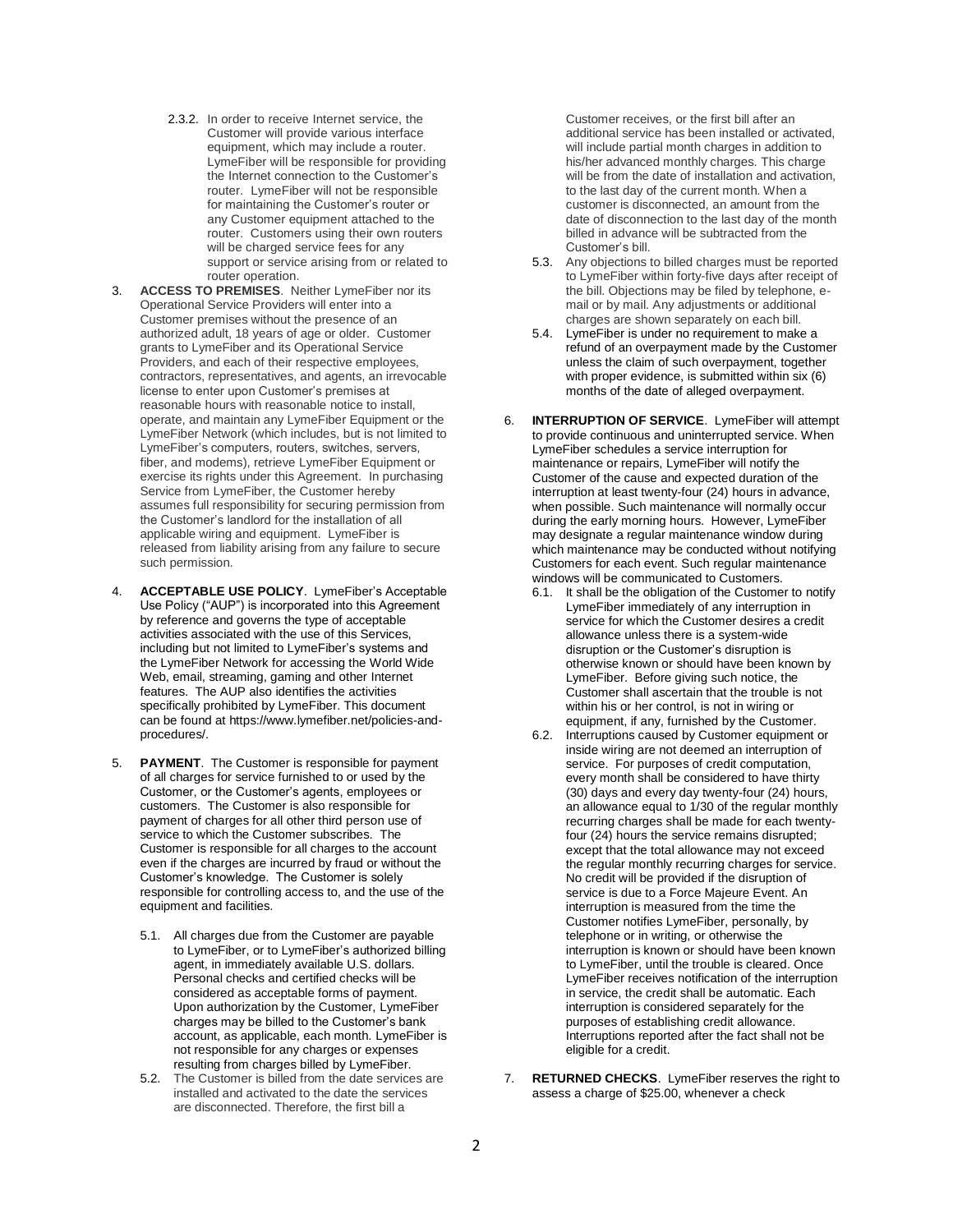- 2.3.2. In order to receive Internet service, the Customer will provide various interface equipment, which may include a router. LymeFiber will be responsible for providing the Internet connection to the Customer's router. LymeFiber will not be responsible for maintaining the Customer's router or any Customer equipment attached to the router. Customers using their own routers will be charged service fees for any support or service arising from or related to router operation.
- 3. **ACCESS TO PREMISES**. Neither LymeFiber nor its Operational Service Providers will enter into a Customer premises without the presence of an authorized adult, 18 years of age or older. Customer grants to LymeFiber and its Operational Service Providers, and each of their respective employees, contractors, representatives, and agents, an irrevocable license to enter upon Customer's premises at reasonable hours with reasonable notice to install, operate, and maintain any LymeFiber Equipment or the LymeFiber Network (which includes, but is not limited to LymeFiber's computers, routers, switches, servers, fiber, and modems), retrieve LymeFiber Equipment or exercise its rights under this Agreement. In purchasing Service from LymeFiber, the Customer hereby assumes full responsibility for securing permission from the Customer's landlord for the installation of all applicable wiring and equipment. LymeFiber is released from liability arising from any failure to secure such permission.
- 4. **ACCEPTABLE USE POLICY**. LymeFiber's Acceptable Use Policy ("AUP") is incorporated into this Agreement by reference and governs the type of acceptable activities associated with the use of this Services, including but not limited to LymeFiber's systems and the LymeFiber Network for accessing the World Wide Web, email, streaming, gaming and other Internet features. The AUP also identifies the activities specifically prohibited by LymeFiber. This document can be found at https://www.lymefiber.net/policies-andprocedures/.
- 5. **PAYMENT**. The Customer is responsible for payment of all charges for service furnished to or used by the Customer, or the Customer's agents, employees or customers. The Customer is also responsible for payment of charges for all other third person use of service to which the Customer subscribes. The Customer is responsible for all charges to the account even if the charges are incurred by fraud or without the Customer's knowledge. The Customer is solely responsible for controlling access to, and the use of the equipment and facilities.
	- 5.1. All charges due from the Customer are payable to LymeFiber, or to LymeFiber's authorized billing agent, in immediately available U.S. dollars. Personal checks and certified checks will be considered as acceptable forms of payment. Upon authorization by the Customer, LymeFiber charges may be billed to the Customer's bank account, as applicable, each month. LymeFiber is not responsible for any charges or expenses resulting from charges billed by LymeFiber.
	- 5.2. The Customer is billed from the date services are installed and activated to the date the services are disconnected. Therefore, the first bill a

Customer receives, or the first bill after an additional service has been installed or activated, will include partial month charges in addition to his/her advanced monthly charges. This charge will be from the date of installation and activation, to the last day of the current month. When a customer is disconnected, an amount from the date of disconnection to the last day of the month billed in advance will be subtracted from the Customer's bill.

- 5.3. Any objections to billed charges must be reported to LymeFiber within forty-five days after receipt of the bill. Objections may be filed by telephone, email or by mail. Any adjustments or additional charges are shown separately on each bill.
- 5.4. LymeFiber is under no requirement to make a refund of an overpayment made by the Customer unless the claim of such overpayment, together with proper evidence, is submitted within six (6) months of the date of alleged overpayment.
- 6. **INTERRUPTION OF SERVICE**. LymeFiber will attempt to provide continuous and uninterrupted service. When LymeFiber schedules a service interruption for maintenance or repairs, LymeFiber will notify the Customer of the cause and expected duration of the interruption at least twenty-four (24) hours in advance, when possible. Such maintenance will normally occur during the early morning hours. However, LymeFiber may designate a regular maintenance window during which maintenance may be conducted without notifying Customers for each event. Such regular maintenance windows will be communicated to Customers.
	- 6.1. It shall be the obligation of the Customer to notify LymeFiber immediately of any interruption in service for which the Customer desires a credit allowance unless there is a system-wide disruption or the Customer's disruption is otherwise known or should have been known by LymeFiber. Before giving such notice, the Customer shall ascertain that the trouble is not within his or her control, is not in wiring or equipment, if any, furnished by the Customer.
	- 6.2. Interruptions caused by Customer equipment or inside wiring are not deemed an interruption of service. For purposes of credit computation, every month shall be considered to have thirty (30) days and every day twenty-four (24) hours, an allowance equal to 1/30 of the regular monthly recurring charges shall be made for each twentyfour (24) hours the service remains disrupted; except that the total allowance may not exceed the regular monthly recurring charges for service. No credit will be provided if the disruption of service is due to a Force Majeure Event. An interruption is measured from the time the Customer notifies LymeFiber, personally, by telephone or in writing, or otherwise the interruption is known or should have been known to LymeFiber, until the trouble is cleared. Once LymeFiber receives notification of the interruption in service, the credit shall be automatic. Each interruption is considered separately for the purposes of establishing credit allowance. Interruptions reported after the fact shall not be eligible for a credit.
- 7. **RETURNED CHECKS**. LymeFiber reserves the right to assess a charge of \$25.00, whenever a check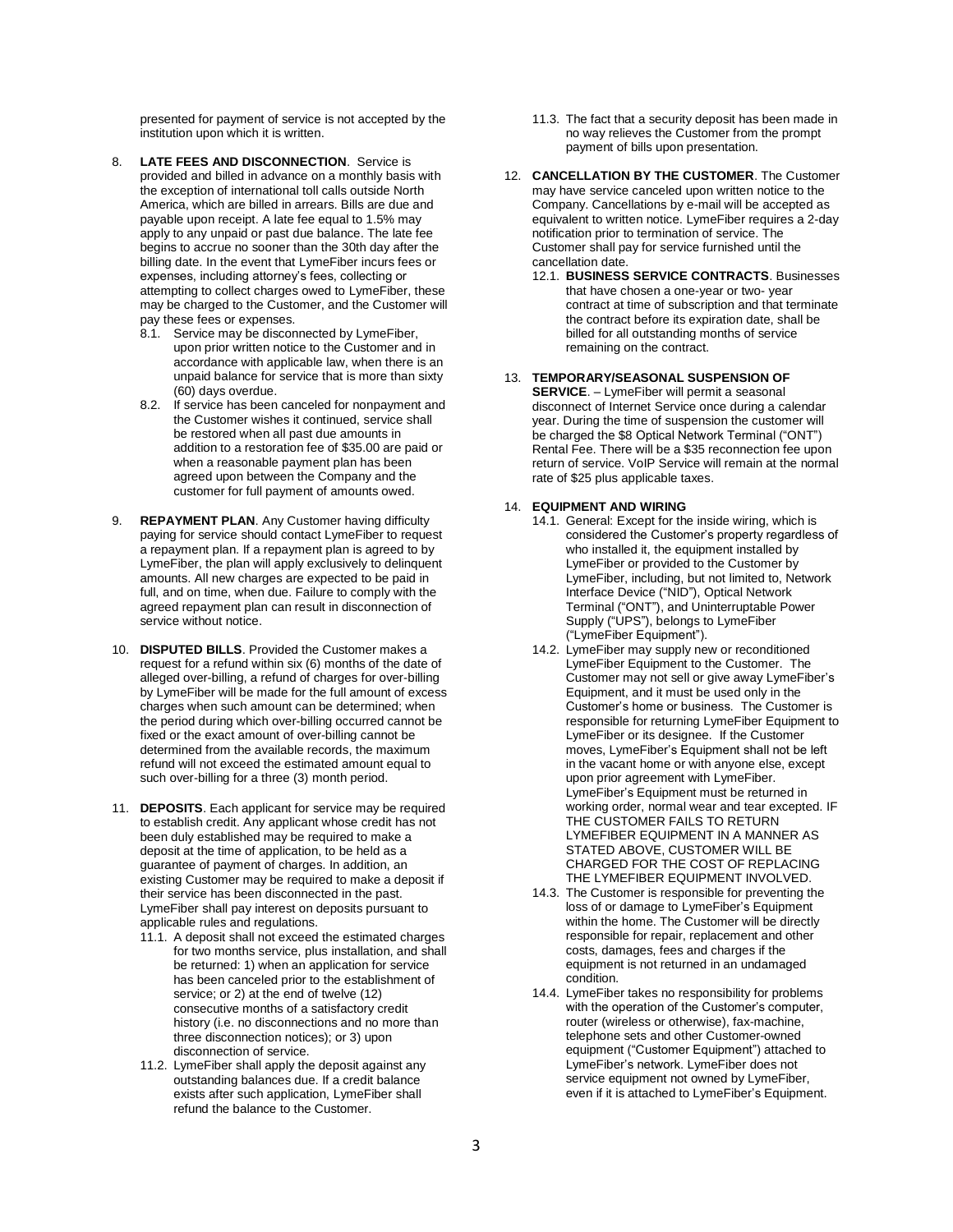presented for payment of service is not accepted by the institution upon which it is written.

- 8. **LATE FEES AND DISCONNECTION**. Service is provided and billed in advance on a monthly basis with the exception of international toll calls outside North America, which are billed in arrears. Bills are due and payable upon receipt. A late fee equal to 1.5% may apply to any unpaid or past due balance. The late fee begins to accrue no sooner than the 30th day after the billing date. In the event that LymeFiber incurs fees or expenses, including attorney's fees, collecting or attempting to collect charges owed to LymeFiber, these may be charged to the Customer, and the Customer will pay these fees or expenses.
	- 8.1. Service may be disconnected by LymeFiber, upon prior written notice to the Customer and in accordance with applicable law, when there is an unpaid balance for service that is more than sixty (60) days overdue.
	- 8.2. If service has been canceled for nonpayment and the Customer wishes it continued, service shall be restored when all past due amounts in addition to a restoration fee of \$35.00 are paid or when a reasonable payment plan has been agreed upon between the Company and the customer for full payment of amounts owed.
- 9. **REPAYMENT PLAN**. Any Customer having difficulty paying for service should contact LymeFiber to request a repayment plan. If a repayment plan is agreed to by LymeFiber, the plan will apply exclusively to delinquent amounts. All new charges are expected to be paid in full, and on time, when due. Failure to comply with the agreed repayment plan can result in disconnection of service without notice.
- 10. **DISPUTED BILLS**. Provided the Customer makes a request for a refund within six (6) months of the date of alleged over-billing, a refund of charges for over-billing by LymeFiber will be made for the full amount of excess charges when such amount can be determined; when the period during which over-billing occurred cannot be fixed or the exact amount of over-billing cannot be determined from the available records, the maximum refund will not exceed the estimated amount equal to such over-billing for a three (3) month period.
- 11. **DEPOSITS**. Each applicant for service may be required to establish credit. Any applicant whose credit has not been duly established may be required to make a deposit at the time of application, to be held as a guarantee of payment of charges. In addition, an existing Customer may be required to make a deposit if their service has been disconnected in the past. LymeFiber shall pay interest on deposits pursuant to applicable rules and regulations.
	- 11.1. A deposit shall not exceed the estimated charges for two months service, plus installation, and shall be returned: 1) when an application for service has been canceled prior to the establishment of service; or 2) at the end of twelve (12) consecutive months of a satisfactory credit history (i.e. no disconnections and no more than three disconnection notices); or 3) upon disconnection of service.
	- 11.2. LymeFiber shall apply the deposit against any outstanding balances due. If a credit balance exists after such application, LymeFiber shall refund the balance to the Customer.
- 11.3. The fact that a security deposit has been made in no way relieves the Customer from the prompt payment of bills upon presentation.
- 12. **CANCELLATION BY THE CUSTOMER**. The Customer may have service canceled upon written notice to the Company. Cancellations by e-mail will be accepted as equivalent to written notice. LymeFiber requires a 2-day notification prior to termination of service. The Customer shall pay for service furnished until the cancellation date.
	- 12.1. **BUSINESS SERVICE CONTRACTS**. Businesses that have chosen a one-year or two- year contract at time of subscription and that terminate the contract before its expiration date, shall be billed for all outstanding months of service remaining on the contract.
- 13. **TEMPORARY/SEASONAL SUSPENSION OF SERVICE**. – LymeFiber will permit a seasonal disconnect of Internet Service once during a calendar year. During the time of suspension the customer will be charged the \$8 Optical Network Terminal ("ONT") Rental Fee. There will be a \$35 reconnection fee upon return of service. VoIP Service will remain at the normal rate of \$25 plus applicable taxes.

# 14. **EQUIPMENT AND WIRING**

- 14.1. General: Except for the inside wiring, which is considered the Customer's property regardless of who installed it, the equipment installed by LymeFiber or provided to the Customer by LymeFiber, including, but not limited to, Network Interface Device ("NID"), Optical Network Terminal ("ONT"), and Uninterruptable Power Supply ("UPS"), belongs to LymeFiber ("LymeFiber Equipment").
- 14.2. LymeFiber may supply new or reconditioned LymeFiber Equipment to the Customer. The Customer may not sell or give away LymeFiber's Equipment, and it must be used only in the Customer's home or business. The Customer is responsible for returning LymeFiber Equipment to LymeFiber or its designee. If the Customer moves, LymeFiber's Equipment shall not be left in the vacant home or with anyone else, except upon prior agreement with LymeFiber. LymeFiber's Equipment must be returned in working order, normal wear and tear excepted. IF THE CUSTOMER FAILS TO RETURN LYMEFIBER EQUIPMENT IN A MANNER AS STATED ABOVE, CUSTOMER WILL BE CHARGED FOR THE COST OF REPLACING THE LYMEFIBER EQUIPMENT INVOLVED.
- 14.3. The Customer is responsible for preventing the loss of or damage to LymeFiber's Equipment within the home. The Customer will be directly responsible for repair, replacement and other costs, damages, fees and charges if the equipment is not returned in an undamaged condition.
- 14.4. LymeFiber takes no responsibility for problems with the operation of the Customer's computer, router (wireless or otherwise), fax-machine, telephone sets and other Customer-owned equipment ("Customer Equipment") attached to LymeFiber's network. LymeFiber does not service equipment not owned by LymeFiber, even if it is attached to LymeFiber's Equipment.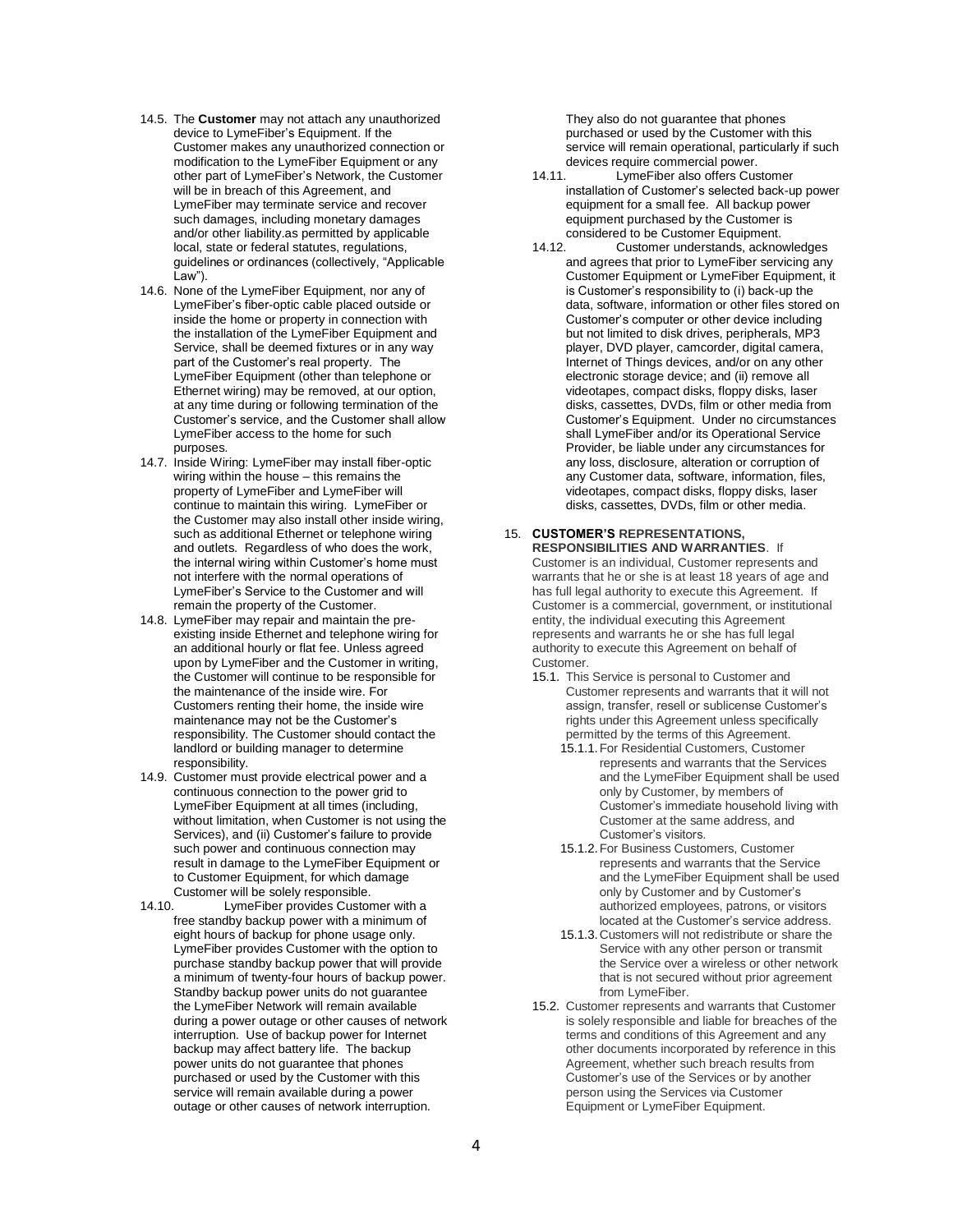- 14.5. The **Customer** may not attach any unauthorized device to LymeFiber's Equipment. If the Customer makes any unauthorized connection or modification to the LymeFiber Equipment or any other part of LymeFiber's Network, the Customer will be in breach of this Agreement, and LymeFiber may terminate service and recover such damages, including monetary damages and/or other liability.as permitted by applicable local, state or federal statutes, regulations, guidelines or ordinances (collectively, "Applicable Law").
- 14.6. None of the LymeFiber Equipment, nor any of LymeFiber's fiber-optic cable placed outside or inside the home or property in connection with the installation of the LymeFiber Equipment and Service, shall be deemed fixtures or in any way part of the Customer's real property. The LymeFiber Equipment (other than telephone or Ethernet wiring) may be removed, at our option, at any time during or following termination of the Customer's service, and the Customer shall allow LymeFiber access to the home for such purposes.
- 14.7. Inside Wiring: LymeFiber may install fiber-optic wiring within the house – this remains the property of LymeFiber and LymeFiber will continue to maintain this wiring. LymeFiber or the Customer may also install other inside wiring, such as additional Ethernet or telephone wiring and outlets. Regardless of who does the work, the internal wiring within Customer's home must not interfere with the normal operations of LymeFiber's Service to the Customer and will remain the property of the Customer.
- 14.8. LymeFiber may repair and maintain the preexisting inside Ethernet and telephone wiring for an additional hourly or flat fee. Unless agreed upon by LymeFiber and the Customer in writing, the Customer will continue to be responsible for the maintenance of the inside wire. For Customers renting their home, the inside wire maintenance may not be the Customer's responsibility. The Customer should contact the landlord or building manager to determine responsibility.
- 14.9. Customer must provide electrical power and a continuous connection to the power grid to LymeFiber Equipment at all times (including, without limitation, when Customer is not using the Services), and (ii) Customer's failure to provide such power and continuous connection may result in damage to the LymeFiber Equipment or to Customer Equipment, for which damage Customer will be solely responsible.<br>14.10 Ume Eiher provides Custor
- LymeFiber provides Customer with a free standby backup power with a minimum of eight hours of backup for phone usage only. LymeFiber provides Customer with the option to purchase standby backup power that will provide a minimum of twenty-four hours of backup power. Standby backup power units do not guarantee the LymeFiber Network will remain available during a power outage or other causes of network interruption. Use of backup power for Internet backup may affect battery life. The backup power units do not guarantee that phones purchased or used by the Customer with this service will remain available during a power outage or other causes of network interruption.

They also do not guarantee that phones purchased or used by the Customer with this service will remain operational, particularly if such devices require commercial power.

- 14.11. LymeFiber also offers Customer installation of Customer's selected back-up power equipment for a small fee. All backup power equipment purchased by the Customer is considered to be Customer Equipment.<br>14.12. Customer understands. ackno
- Customer understands, acknowledges and agrees that prior to LymeFiber servicing any Customer Equipment or LymeFiber Equipment, it is Customer's responsibility to (i) back-up the data, software, information or other files stored on Customer's computer or other device including but not limited to disk drives, peripherals, MP3 player, DVD player, camcorder, digital camera, Internet of Things devices, and/or on any other electronic storage device; and (ii) remove all videotapes, compact disks, floppy disks, laser disks, cassettes, DVDs, film or other media from Customer's Equipment. Under no circumstances shall LymeFiber and/or its Operational Service Provider, be liable under any circumstances for any loss, disclosure, alteration or corruption of any Customer data, software, information, files, videotapes, compact disks, floppy disks, laser disks, cassettes, DVDs, film or other media.

# 15. **CUSTOMER'S REPRESENTATIONS,**

**RESPONSIBILITIES AND WARRANTIES**. If Customer is an individual, Customer represents and warrants that he or she is at least 18 years of age and has full legal authority to execute this Agreement. If Customer is a commercial, government, or institutional entity, the individual executing this Agreement represents and warrants he or she has full legal authority to execute this Agreement on behalf of Customer.

- 15.1. This Service is personal to Customer and Customer represents and warrants that it will not assign, transfer, resell or sublicense Customer's rights under this Agreement unless specifically permitted by the terms of this Agreement.
	- 15.1.1.For Residential Customers, Customer represents and warrants that the Services and the LymeFiber Equipment shall be used only by Customer, by members of Customer's immediate household living with Customer at the same address, and Customer's visitors.
	- 15.1.2.For Business Customers, Customer represents and warrants that the Service and the LymeFiber Equipment shall be used only by Customer and by Customer's authorized employees, patrons, or visitors located at the Customer's service address.
	- 15.1.3.Customers will not redistribute or share the Service with any other person or transmit the Service over a wireless or other network that is not secured without prior agreement from LymeFiber.
- 15.2. Customer represents and warrants that Customer is solely responsible and liable for breaches of the terms and conditions of this Agreement and any other documents incorporated by reference in this Agreement, whether such breach results from Customer's use of the Services or by another person using the Services via Customer Equipment or LymeFiber Equipment.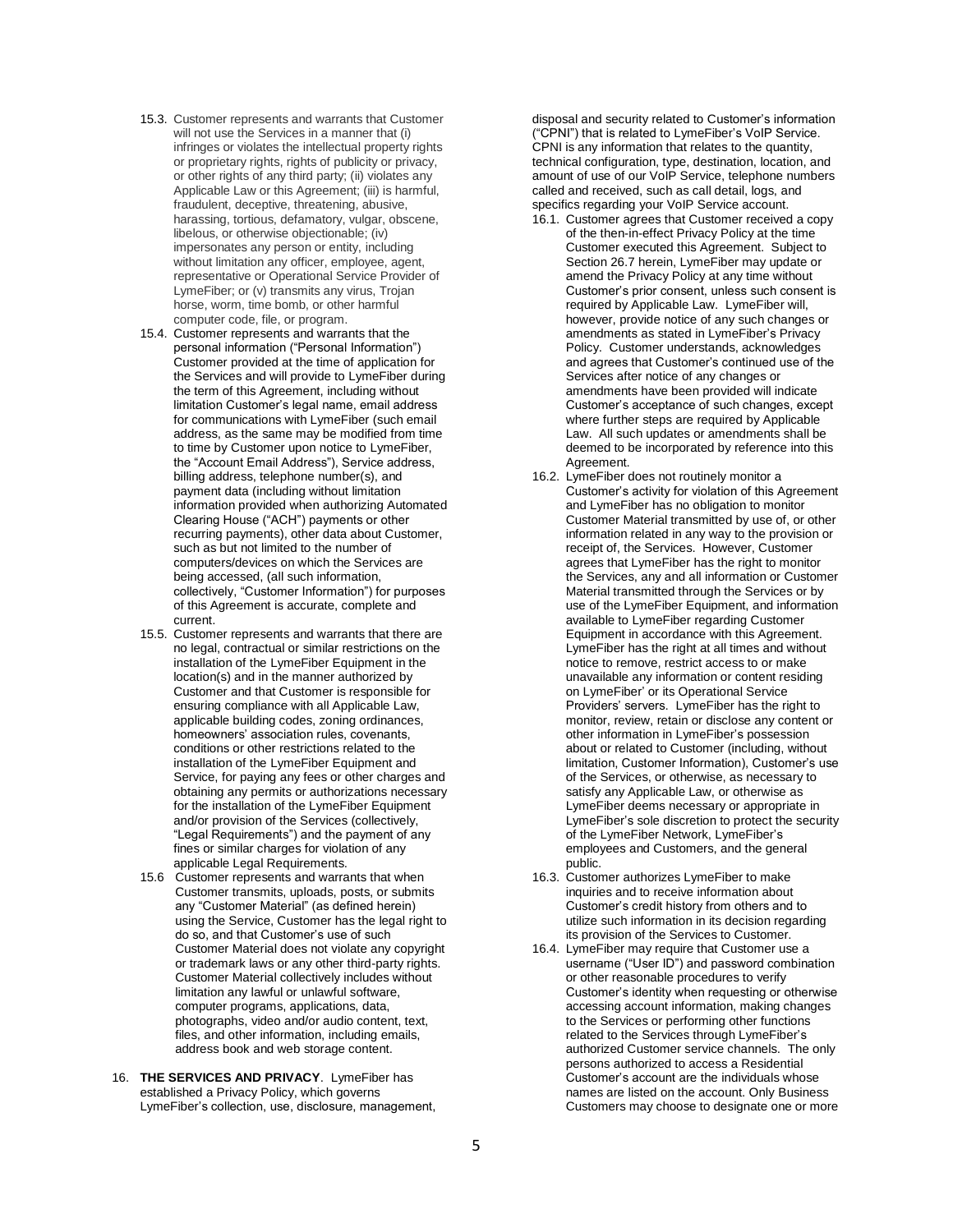- 15.3. Customer represents and warrants that Customer will not use the Services in a manner that (i) infringes or violates the intellectual property rights or proprietary rights, rights of publicity or privacy, or other rights of any third party; (ii) violates any Applicable Law or this Agreement; (iii) is harmful, fraudulent, deceptive, threatening, abusive, harassing, tortious, defamatory, vulgar, obscene, libelous, or otherwise objectionable; (iv) impersonates any person or entity, including without limitation any officer, employee, agent, representative or Operational Service Provider of LymeFiber; or (v) transmits any virus, Trojan horse, worm, time bomb, or other harmful computer code, file, or program.
- 15.4. Customer represents and warrants that the personal information ("Personal Information") Customer provided at the time of application for the Services and will provide to LymeFiber during the term of this Agreement, including without limitation Customer's legal name, email address for communications with LymeFiber (such email address, as the same may be modified from time to time by Customer upon notice to LymeFiber, the "Account Email Address"), Service address, billing address, telephone number(s), and payment data (including without limitation information provided when authorizing Automated Clearing House ("ACH") payments or other recurring payments), other data about Customer, such as but not limited to the number of computers/devices on which the Services are being accessed, (all such information, collectively, "Customer Information") for purposes of this Agreement is accurate, complete and current.
- 15.5. Customer represents and warrants that there are no legal, contractual or similar restrictions on the installation of the LymeFiber Equipment in the location(s) and in the manner authorized by Customer and that Customer is responsible for ensuring compliance with all Applicable Law, applicable building codes, zoning ordinances, homeowners' association rules, covenants, conditions or other restrictions related to the installation of the LymeFiber Equipment and Service, for paying any fees or other charges and obtaining any permits or authorizations necessary for the installation of the LymeFiber Equipment and/or provision of the Services (collectively, "Legal Requirements") and the payment of any fines or similar charges for violation of any applicable Legal Requirements.
- 15.6 Customer represents and warrants that when Customer transmits, uploads, posts, or submits any "Customer Material" (as defined herein) using the Service, Customer has the legal right to do so, and that Customer's use of such Customer Material does not violate any copyright or trademark laws or any other third-party rights. Customer Material collectively includes without limitation any lawful or unlawful software, computer programs, applications, data, photographs, video and/or audio content, text, files, and other information, including emails, address book and web storage content.
- 16. **THE SERVICES AND PRIVACY**. LymeFiber has established a Privacy Policy, which governs LymeFiber's collection, use, disclosure, management,

disposal and security related to Customer's information ("CPNI") that is related to LymeFiber's VoIP Service. CPNI is any information that relates to the quantity, technical configuration, type, destination, location, and amount of use of our VoIP Service, telephone numbers called and received, such as call detail, logs, and specifics regarding your VoIP Service account.

- 16.1. Customer agrees that Customer received a copy of the then-in-effect Privacy Policy at the time Customer executed this Agreement. Subject to Section 26.7 herein, LymeFiber may update or amend the Privacy Policy at any time without Customer's prior consent, unless such consent is required by Applicable Law. LymeFiber will, however, provide notice of any such changes or amendments as stated in LymeFiber's Privacy Policy. Customer understands, acknowledges and agrees that Customer's continued use of the Services after notice of any changes or amendments have been provided will indicate Customer's acceptance of such changes, except where further steps are required by Applicable Law. All such updates or amendments shall be deemed to be incorporated by reference into this Agreement.
- 16.2. LymeFiber does not routinely monitor a Customer's activity for violation of this Agreement and LymeFiber has no obligation to monitor Customer Material transmitted by use of, or other information related in any way to the provision or receipt of, the Services. However, Customer agrees that LymeFiber has the right to monitor the Services, any and all information or Customer Material transmitted through the Services or by use of the LymeFiber Equipment, and information available to LymeFiber regarding Customer Equipment in accordance with this Agreement. LymeFiber has the right at all times and without notice to remove, restrict access to or make unavailable any information or content residing on LymeFiber' or its Operational Service Providers' servers. LymeFiber has the right to monitor, review, retain or disclose any content or other information in LymeFiber's possession about or related to Customer (including, without limitation, Customer Information), Customer's use of the Services, or otherwise, as necessary to satisfy any Applicable Law, or otherwise as LymeFiber deems necessary or appropriate in LymeFiber's sole discretion to protect the security of the LymeFiber Network, LymeFiber's employees and Customers, and the general public.
- 16.3. Customer authorizes LymeFiber to make inquiries and to receive information about Customer's credit history from others and to utilize such information in its decision regarding its provision of the Services to Customer.
- 16.4. LymeFiber may require that Customer use a username ("User ID") and password combination or other reasonable procedures to verify Customer's identity when requesting or otherwise accessing account information, making changes to the Services or performing other functions related to the Services through LymeFiber's authorized Customer service channels. The only persons authorized to access a Residential Customer's account are the individuals whose names are listed on the account. Only Business Customers may choose to designate one or more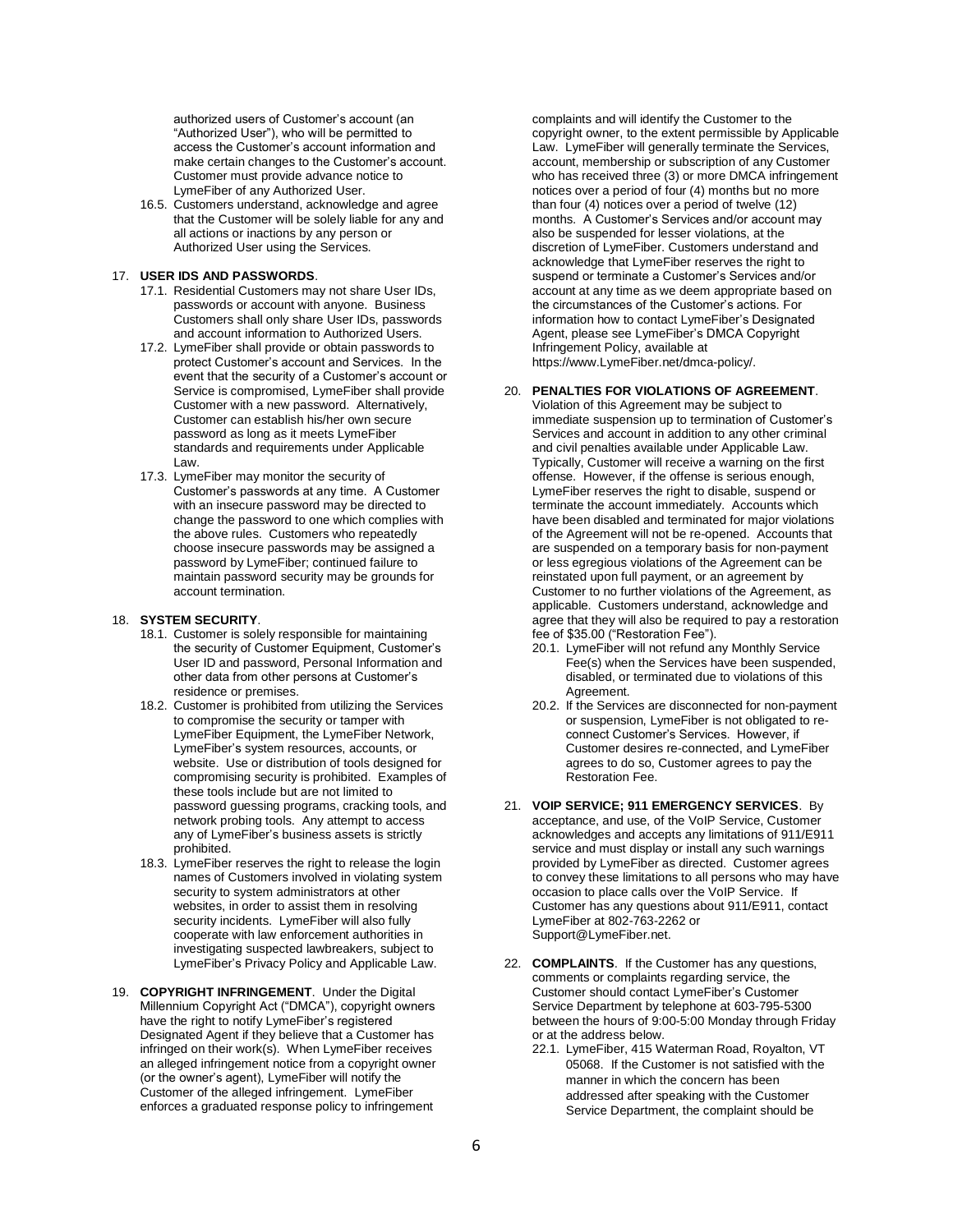authorized users of Customer's account (an "Authorized User"), who will be permitted to access the Customer's account information and make certain changes to the Customer's account. Customer must provide advance notice to LymeFiber of any Authorized User.

16.5. Customers understand, acknowledge and agree that the Customer will be solely liable for any and all actions or inactions by any person or Authorized User using the Services.

# 17. **USER IDS AND PASSWORDS**.

- 17.1. Residential Customers may not share User IDs, passwords or account with anyone. Business Customers shall only share User IDs, passwords and account information to Authorized Users.
- 17.2. LymeFiber shall provide or obtain passwords to protect Customer's account and Services. In the event that the security of a Customer's account or Service is compromised, LymeFiber shall provide Customer with a new password. Alternatively, Customer can establish his/her own secure password as long as it meets LymeFiber standards and requirements under Applicable Law.
- 17.3. LymeFiber may monitor the security of Customer's passwords at any time. A Customer with an insecure password may be directed to change the password to one which complies with the above rules. Customers who repeatedly choose insecure passwords may be assigned a password by LymeFiber; continued failure to maintain password security may be grounds for account termination.

#### 18. **SYSTEM SECURITY**.

- 18.1. Customer is solely responsible for maintaining the security of Customer Equipment, Customer's User ID and password, Personal Information and other data from other persons at Customer's residence or premises.
- 18.2. Customer is prohibited from utilizing the Services to compromise the security or tamper with LymeFiber Equipment, the LymeFiber Network, LymeFiber's system resources, accounts, or website. Use or distribution of tools designed for compromising security is prohibited. Examples of these tools include but are not limited to password guessing programs, cracking tools, and network probing tools. Any attempt to access any of LymeFiber's business assets is strictly prohibited.
- 18.3. LymeFiber reserves the right to release the login names of Customers involved in violating system security to system administrators at other websites, in order to assist them in resolving security incidents. LymeFiber will also fully cooperate with law enforcement authorities in investigating suspected lawbreakers, subject to LymeFiber's Privacy Policy and Applicable Law.
- 19. **COPYRIGHT INFRINGEMENT**. Under the Digital Millennium Copyright Act ("DMCA"), copyright owners have the right to notify LymeFiber's registered Designated Agent if they believe that a Customer has infringed on their work(s). When LymeFiber receives an alleged infringement notice from a copyright owner (or the owner's agent), LymeFiber will notify the Customer of the alleged infringement. LymeFiber enforces a graduated response policy to infringement

complaints and will identify the Customer to the copyright owner, to the extent permissible by Applicable Law. LymeFiber will generally terminate the Services, account, membership or subscription of any Customer who has received three (3) or more DMCA infringement notices over a period of four (4) months but no more than four (4) notices over a period of twelve (12) months. A Customer's Services and/or account may also be suspended for lesser violations, at the discretion of LymeFiber. Customers understand and acknowledge that LymeFiber reserves the right to suspend or terminate a Customer's Services and/or account at any time as we deem appropriate based on the circumstances of the Customer's actions. For information how to contact LymeFiber's Designated Agent, please see LymeFiber's DMCA Copyright Infringement Policy, available at https://www.LymeFiber.net/dmca-policy/.

# 20. **PENALTIES FOR VIOLATIONS OF AGREEMENT**.

Violation of this Agreement may be subject to immediate suspension up to termination of Customer's Services and account in addition to any other criminal and civil penalties available under Applicable Law. Typically, Customer will receive a warning on the first offense. However, if the offense is serious enough, LymeFiber reserves the right to disable, suspend or terminate the account immediately. Accounts which have been disabled and terminated for major violations of the Agreement will not be re-opened. Accounts that are suspended on a temporary basis for non-payment or less egregious violations of the Agreement can be reinstated upon full payment, or an agreement by Customer to no further violations of the Agreement, as applicable. Customers understand, acknowledge and agree that they will also be required to pay a restoration fee of \$35.00 ("Restoration Fee").

- 20.1. LymeFiber will not refund any Monthly Service Fee(s) when the Services have been suspended, disabled, or terminated due to violations of this Agreement.
- 20.2. If the Services are disconnected for non-payment or suspension, LymeFiber is not obligated to reconnect Customer's Services. However, if Customer desires re-connected, and LymeFiber agrees to do so, Customer agrees to pay the Restoration Fee.
- 21. **VOIP SERVICE; 911 EMERGENCY SERVICES**. By acceptance, and use, of the VoIP Service, Customer acknowledges and accepts any limitations of 911/E911 service and must display or install any such warnings provided by LymeFiber as directed. Customer agrees to convey these limitations to all persons who may have occasion to place calls over the VoIP Service. If Customer has any questions about 911/E911, contact LymeFiber at 802-763-2262 or Support@LymeFiber.net.
- 22. **COMPLAINTS**. If the Customer has any questions, comments or complaints regarding service, the Customer should contact LymeFiber's Customer Service Department by telephone at 603-795-5300 between the hours of 9:00-5:00 Monday through Friday or at the address below.
	- 22.1. LymeFiber, 415 Waterman Road, Royalton, VT 05068. If the Customer is not satisfied with the manner in which the concern has been addressed after speaking with the Customer Service Department, the complaint should be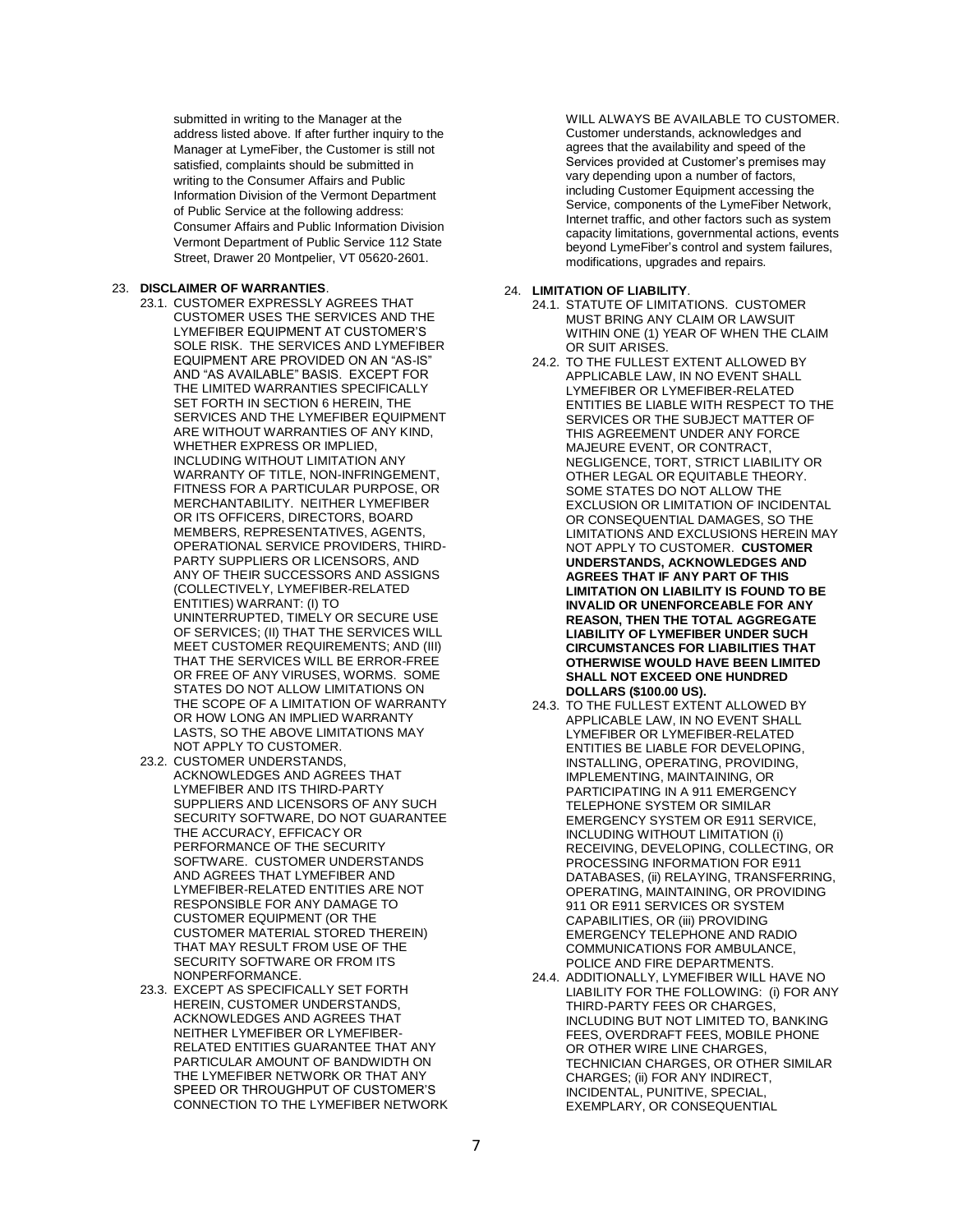submitted in writing to the Manager at the address listed above. If after further inquiry to the Manager at LymeFiber, the Customer is still not satisfied, complaints should be submitted in writing to the Consumer Affairs and Public Information Division of the Vermont Department of Public Service at the following address: Consumer Affairs and Public Information Division Vermont Department of Public Service 112 State Street, Drawer 20 Montpelier, VT 05620-2601.

### 23. **DISCLAIMER OF WARRANTIES**.

- 23.1. CUSTOMER EXPRESSLY AGREES THAT CUSTOMER USES THE SERVICES AND THE LYMEFIBER EQUIPMENT AT CUSTOMER'S SOLE RISK. THE SERVICES AND LYMEFIBER EQUIPMENT ARE PROVIDED ON AN "AS-IS" AND "AS AVAILABLE" BASIS. EXCEPT FOR THE LIMITED WARRANTIES SPECIFICALLY SET FORTH IN SECTION 6 HEREIN, THE SERVICES AND THE LYMEFIBER EQUIPMENT ARE WITHOUT WARRANTIES OF ANY KIND, WHETHER EXPRESS OR IMPLIED, INCLUDING WITHOUT LIMITATION ANY WARRANTY OF TITLE, NON-INFRINGEMENT, FITNESS FOR A PARTICULAR PURPOSE, OR MERCHANTABILITY. NEITHER LYMEFIBER OR ITS OFFICERS, DIRECTORS, BOARD MEMBERS, REPRESENTATIVES, AGENTS, OPERATIONAL SERVICE PROVIDERS, THIRD-PARTY SUPPLIERS OR LICENSORS, AND ANY OF THEIR SUCCESSORS AND ASSIGNS (COLLECTIVELY, LYMEFIBER-RELATED ENTITIES) WARRANT: (I) TO UNINTERRUPTED, TIMELY OR SECURE USE OF SERVICES; (II) THAT THE SERVICES WILL MEET CUSTOMER REQUIREMENTS; AND (III) THAT THE SERVICES WILL BE ERROR-FREE OR FREE OF ANY VIRUSES, WORMS. SOME STATES DO NOT ALLOW LIMITATIONS ON THE SCOPE OF A LIMITATION OF WARRANTY OR HOW LONG AN IMPLIED WARRANTY LASTS, SO THE ABOVE LIMITATIONS MAY NOT APPLY TO CUSTOMER.
- 23.2. CUSTOMER UNDERSTANDS, ACKNOWLEDGES AND AGREES THAT LYMEFIBER AND ITS THIRD-PARTY SUPPLIERS AND LICENSORS OF ANY SUCH SECURITY SOFTWARE, DO NOT GUARANTEE THE ACCURACY, EFFICACY OR PERFORMANCE OF THE SECURITY SOFTWARE. CUSTOMER UNDERSTANDS AND AGREES THAT LYMEFIBER AND LYMEFIBER-RELATED ENTITIES ARE NOT RESPONSIBLE FOR ANY DAMAGE TO CUSTOMER EQUIPMENT (OR THE CUSTOMER MATERIAL STORED THEREIN) THAT MAY RESULT FROM USE OF THE SECURITY SOFTWARE OR FROM ITS NONPERFORMANCE.
- 23.3. EXCEPT AS SPECIFICALLY SET FORTH HEREIN, CUSTOMER UNDERSTANDS, ACKNOWLEDGES AND AGREES THAT NEITHER LYMEFIBER OR LYMEFIBER-RELATED ENTITIES GUARANTEE THAT ANY PARTICULAR AMOUNT OF BANDWIDTH ON THE LYMEFIBER NETWORK OR THAT ANY SPEED OR THROUGHPUT OF CUSTOMER'S CONNECTION TO THE LYMEFIBER NETWORK

WILL ALWAYS BE AVAILABLE TO CUSTOMER. Customer understands, acknowledges and agrees that the availability and speed of the Services provided at Customer's premises may vary depending upon a number of factors, including Customer Equipment accessing the Service, components of the LymeFiber Network, Internet traffic, and other factors such as system capacity limitations, governmental actions, events beyond LymeFiber's control and system failures, modifications, upgrades and repairs.

#### 24. **LIMITATION OF LIABILITY**.

- 24.1. STATUTE OF LIMITATIONS. CUSTOMER MUST BRING ANY CLAIM OR LAWSUIT WITHIN ONE (1) YEAR OF WHEN THE CLAIM OR SUIT ARISES.
- 24.2. TO THE FULLEST EXTENT ALLOWED BY APPLICABLE LAW, IN NO EVENT SHALL LYMEFIBER OR LYMEFIBER-RELATED ENTITIES BE LIABLE WITH RESPECT TO THE SERVICES OR THE SUBJECT MATTER OF THIS AGREEMENT UNDER ANY FORCE MAJEURE EVENT, OR CONTRACT, NEGLIGENCE, TORT, STRICT LIABILITY OR OTHER LEGAL OR EQUITABLE THEORY. SOME STATES DO NOT ALLOW THE EXCLUSION OR LIMITATION OF INCIDENTAL OR CONSEQUENTIAL DAMAGES, SO THE LIMITATIONS AND EXCLUSIONS HEREIN MAY NOT APPLY TO CUSTOMER. **CUSTOMER UNDERSTANDS, ACKNOWLEDGES AND AGREES THAT IF ANY PART OF THIS LIMITATION ON LIABILITY IS FOUND TO BE INVALID OR UNENFORCEABLE FOR ANY REASON, THEN THE TOTAL AGGREGATE LIABILITY OF LYMEFIBER UNDER SUCH CIRCUMSTANCES FOR LIABILITIES THAT OTHERWISE WOULD HAVE BEEN LIMITED SHALL NOT EXCEED ONE HUNDRED DOLLARS (\$100.00 US).**
- 24.3. TO THE FULLEST EXTENT ALLOWED BY APPLICABLE LAW, IN NO EVENT SHALL LYMEFIBER OR LYMEFIBER-RELATED ENTITIES BE LIABLE FOR DEVELOPING, INSTALLING, OPERATING, PROVIDING, IMPLEMENTING, MAINTAINING, OR PARTICIPATING IN A 911 EMERGENCY TELEPHONE SYSTEM OR SIMILAR EMERGENCY SYSTEM OR E911 SERVICE, INCLUDING WITHOUT LIMITATION (i) RECEIVING, DEVELOPING, COLLECTING, OR PROCESSING INFORMATION FOR E911 DATABASES, (ii) RELAYING, TRANSFERRING, OPERATING, MAINTAINING, OR PROVIDING 911 OR E911 SERVICES OR SYSTEM CAPABILITIES, OR (iii) PROVIDING EMERGENCY TELEPHONE AND RADIO COMMUNICATIONS FOR AMBULANCE, POLICE AND FIRE DEPARTMENTS.
- 24.4. ADDITIONALLY, LYMEFIBER WILL HAVE NO LIABILITY FOR THE FOLLOWING: (i) FOR ANY THIRD-PARTY FEES OR CHARGES, INCLUDING BUT NOT LIMITED TO, BANKING FEES, OVERDRAFT FEES, MOBILE PHONE OR OTHER WIRE LINE CHARGES, TECHNICIAN CHARGES, OR OTHER SIMILAR CHARGES; (ii) FOR ANY INDIRECT, INCIDENTAL, PUNITIVE, SPECIAL, EXEMPLARY, OR CONSEQUENTIAL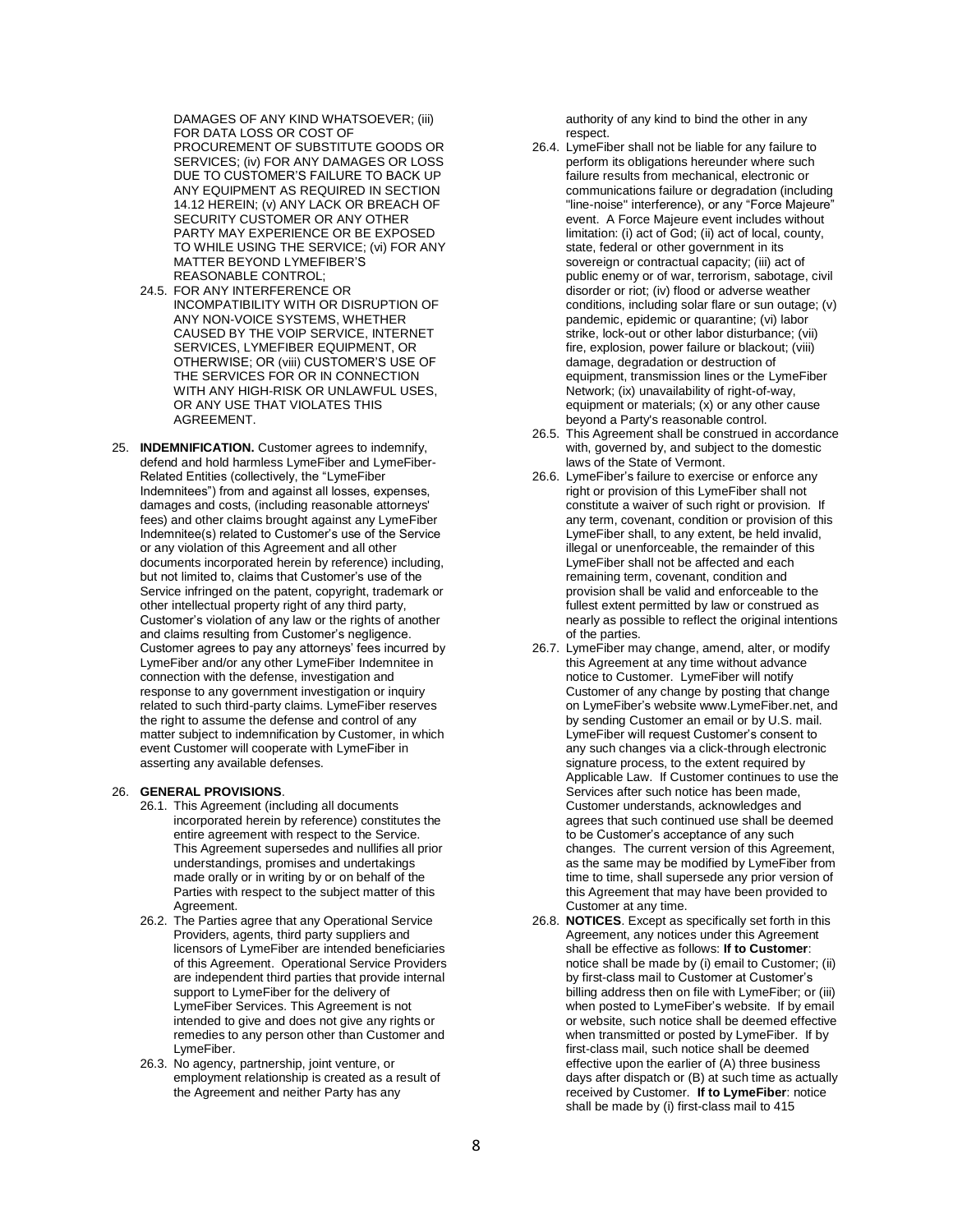DAMAGES OF ANY KIND WHATSOEVER; (iii) FOR DATA LOSS OR COST OF PROCUREMENT OF SUBSTITUTE GOODS OR SERVICES; (iv) FOR ANY DAMAGES OR LOSS DUE TO CUSTOMER'S FAILURE TO BACK UP ANY EQUIPMENT AS REQUIRED IN SECTION 14.12 HEREIN; (v) ANY LACK OR BREACH OF SECURITY CUSTOMER OR ANY OTHER PARTY MAY EXPERIENCE OR BE EXPOSED TO WHILE USING THE SERVICE; (vi) FOR ANY MATTER BEYOND LYMEFIBER'S REASONABLE CONTROL;

- 24.5. FOR ANY INTERFERENCE OR INCOMPATIBILITY WITH OR DISRUPTION OF ANY NON-VOICE SYSTEMS, WHETHER CAUSED BY THE VOIP SERVICE, INTERNET SERVICES, LYMEFIBER EQUIPMENT, OR OTHERWISE; OR (viii) CUSTOMER'S USE OF THE SERVICES FOR OR IN CONNECTION WITH ANY HIGH-RISK OR UNLAWFUL USES, OR ANY USE THAT VIOLATES THIS AGREEMENT.
- 25. **INDEMNIFICATION.** Customer agrees to indemnify, defend and hold harmless LymeFiber and LymeFiber-Related Entities (collectively, the "LymeFiber Indemnitees") from and against all losses, expenses, damages and costs, (including reasonable attorneys' fees) and other claims brought against any LymeFiber Indemnitee(s) related to Customer's use of the Service or any violation of this Agreement and all other documents incorporated herein by reference) including, but not limited to, claims that Customer's use of the Service infringed on the patent, copyright, trademark or other intellectual property right of any third party, Customer's violation of any law or the rights of another and claims resulting from Customer's negligence. Customer agrees to pay any attorneys' fees incurred by LymeFiber and/or any other LymeFiber Indemnitee in connection with the defense, investigation and response to any government investigation or inquiry related to such third-party claims. LymeFiber reserves the right to assume the defense and control of any matter subject to indemnification by Customer, in which event Customer will cooperate with LymeFiber in asserting any available defenses.

#### 26. **GENERAL PROVISIONS**.

- 26.1. This Agreement (including all documents incorporated herein by reference) constitutes the entire agreement with respect to the Service. This Agreement supersedes and nullifies all prior understandings, promises and undertakings made orally or in writing by or on behalf of the Parties with respect to the subject matter of this Agreement.
- 26.2. The Parties agree that any Operational Service Providers, agents, third party suppliers and licensors of LymeFiber are intended beneficiaries of this Agreement. Operational Service Providers are independent third parties that provide internal support to LymeFiber for the delivery of LymeFiber Services. This Agreement is not intended to give and does not give any rights or remedies to any person other than Customer and LymeFiber.
- 26.3. No agency, partnership, joint venture, or employment relationship is created as a result of the Agreement and neither Party has any

authority of any kind to bind the other in any respect.

- 26.4. LymeFiber shall not be liable for any failure to perform its obligations hereunder where such failure results from mechanical, electronic or communications failure or degradation (including "line-noise" interference), or any "Force Majeure" event. A Force Majeure event includes without limitation: (i) act of God; (ii) act of local, county, state, federal or other government in its sovereign or contractual capacity; (iii) act of public enemy or of war, terrorism, sabotage, civil disorder or riot; (iv) flood or adverse weather conditions, including solar flare or sun outage; (v) pandemic, epidemic or quarantine; (vi) labor strike, lock-out or other labor disturbance; (vii) fire, explosion, power failure or blackout; (viii) damage, degradation or destruction of equipment, transmission lines or the LymeFiber Network; (ix) unavailability of right-of-way, equipment or materials; (x) or any other cause beyond a Party's reasonable control.
- 26.5. This Agreement shall be construed in accordance with, governed by, and subject to the domestic laws of the State of Vermont.
- 26.6. LymeFiber's failure to exercise or enforce any right or provision of this LymeFiber shall not constitute a waiver of such right or provision. If any term, covenant, condition or provision of this LymeFiber shall, to any extent, be held invalid, illegal or unenforceable, the remainder of this LymeFiber shall not be affected and each remaining term, covenant, condition and provision shall be valid and enforceable to the fullest extent permitted by law or construed as nearly as possible to reflect the original intentions of the parties.
- 26.7. LymeFiber may change, amend, alter, or modify this Agreement at any time without advance notice to Customer. LymeFiber will notify Customer of any change by posting that change on LymeFiber's website www.LymeFiber.net, and by sending Customer an email or by U.S. mail. LymeFiber will request Customer's consent to any such changes via a click-through electronic signature process, to the extent required by Applicable Law. If Customer continues to use the Services after such notice has been made, Customer understands, acknowledges and agrees that such continued use shall be deemed to be Customer's acceptance of any such changes. The current version of this Agreement, as the same may be modified by LymeFiber from time to time, shall supersede any prior version of this Agreement that may have been provided to Customer at any time.
- 26.8. **NOTICES**. Except as specifically set forth in this Agreement, any notices under this Agreement shall be effective as follows: **If to Customer**: notice shall be made by (i) email to Customer; (ii) by first-class mail to Customer at Customer's billing address then on file with LymeFiber; or (iii) when posted to LymeFiber's website. If by email or website, such notice shall be deemed effective when transmitted or posted by LymeFiber. If by first-class mail, such notice shall be deemed effective upon the earlier of (A) three business days after dispatch or (B) at such time as actually received by Customer. **If to LymeFiber**: notice shall be made by (i) first-class mail to 415